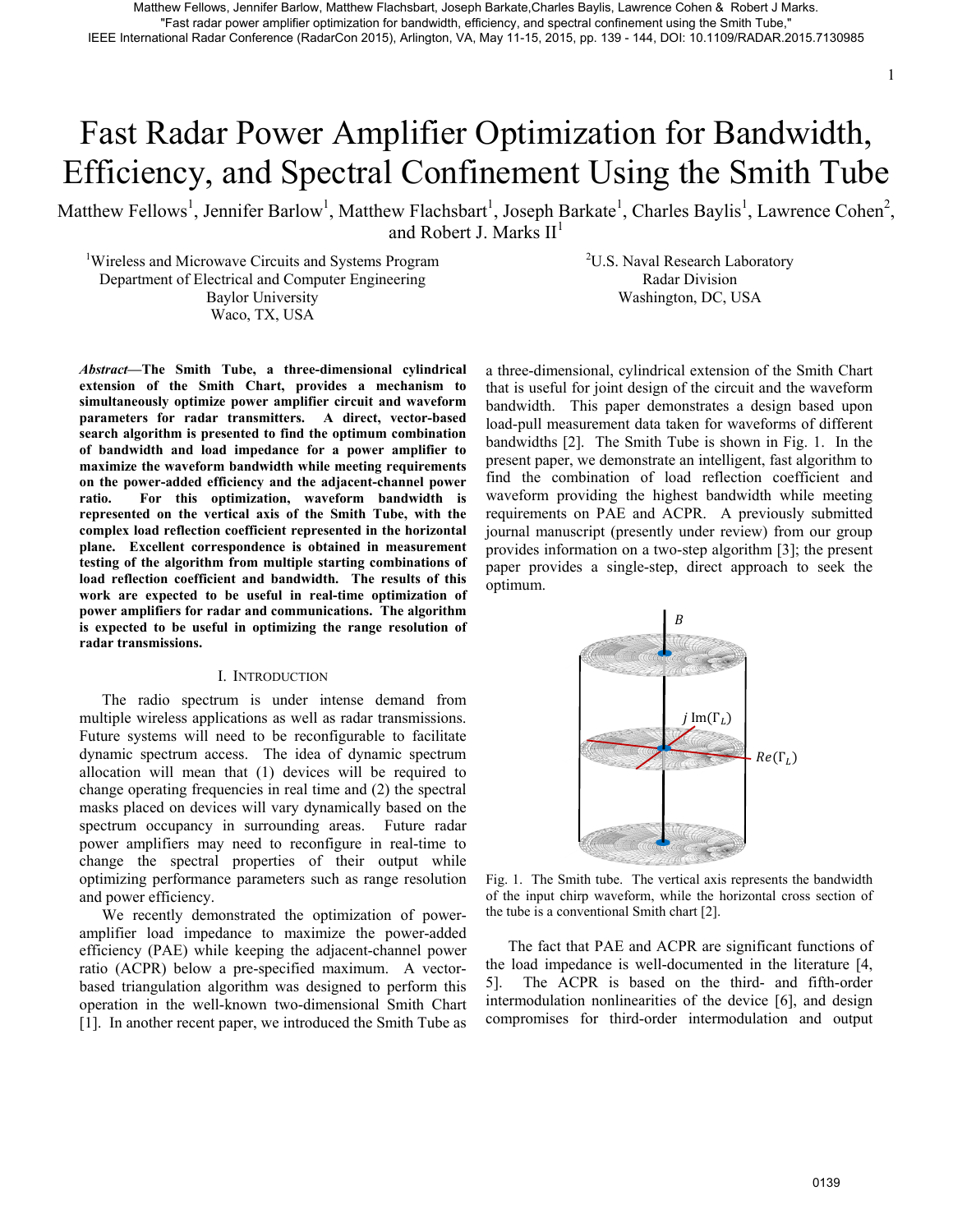# Fast Radar Power Amplifier Optimization for Bandwidth, Efficiency, and Spectral Confinement Using the Smith Tube

Matthew Fellows<sup>1</sup>, Jennifer Barlow<sup>1</sup>, Matthew Flachsbart<sup>1</sup>, Joseph Barkate<sup>1</sup>, Charles Baylis<sup>1</sup>, Lawrence Cohen<sup>2</sup>, and Robert J. Marks  $II<sup>1</sup>$ 

<sup>1</sup>Wireless and Microwave Circuits and Systems Program Department of Electrical and Computer Engineering Baylor University Waco, TX, USA

<sup>2</sup>U.S. Naval Research Laboratory Radar Division Washington, DC, USA

*Abstract***—The Smith Tube, a three-dimensional cylindrical extension of the Smith Chart, provides a mechanism to simultaneously optimize power amplifier circuit and waveform parameters for radar transmitters. A direct, vector-based search algorithm is presented to find the optimum combination of bandwidth and load impedance for a power amplifier to maximize the waveform bandwidth while meeting requirements on the power-added efficiency and the adjacent-channel power ratio. For this optimization, waveform bandwidth is represented on the vertical axis of the Smith Tube, with the complex load reflection coefficient represented in the horizontal plane. Excellent correspondence is obtained in measurement testing of the algorithm from multiple starting combinations of load reflection coefficient and bandwidth. The results of this work are expected to be useful in real-time optimization of power amplifiers for radar and communications. The algorithm is expected to be useful in optimizing the range resolution of radar transmissions.**  OF the control of the control of the control of the control of the control of the control of the control of the control of the control of the control of the control of the control of the control of the control of the cont

#### I. INTRODUCTION

The radio spectrum is under intense demand from multiple wireless applications as well as radar transmissions. Future systems will need to be reconfigurable to facilitate dynamic spectrum access. The idea of dynamic spectrum allocation will mean that (1) devices will be required to change operating frequencies in real time and (2) the spectral masks placed on devices will vary dynamically based on the spectrum occupancy in surrounding areas. Future radar power amplifiers may need to reconfigure in real-time to change the spectral properties of their output while optimizing performance parameters such as range resolution and power efficiency.

We recently demonstrated the optimization of poweramplifier load impedance to maximize the power-added efficiency (PAE) while keeping the adjacent-channel power ratio (ACPR) below a pre-specified maximum. A vectorbased triangulation algorithm was designed to perform this operation in the well-known two-dimensional Smith Chart [1]. In another recent paper, we introduced the Smith Tube as a three-dimensional, cylindrical extension of the Smith Chart that is useful for joint design of the circuit and the waveform bandwidth. This paper demonstrates a design based upon load-pull measurement data taken for waveforms of different bandwidths [2]. The Smith Tube is shown in Fig. 1. In the present paper, we demonstrate an intelligent, fast algorithm to find the combination of load reflection coefficient and waveform providing the highest bandwidth while meeting requirements on PAE and ACPR. A previously submitted journal manuscript (presently under review) from our group provides information on a two-step algorithm [3]; the present paper provides a single-step, direct approach to seek the optimum.



Fig. 1. The Smith tube. The vertical axis represents the bandwidth of the input chirp waveform, while the horizontal cross section of the tube is a conventional Smith chart [2].

The fact that PAE and ACPR are significant functions of the load impedance is well-documented in the literature [4, 5]. The ACPR is based on the third- and fifth-order intermodulation nonlinearities of the device [6], and design compromises for third-order intermodulation and output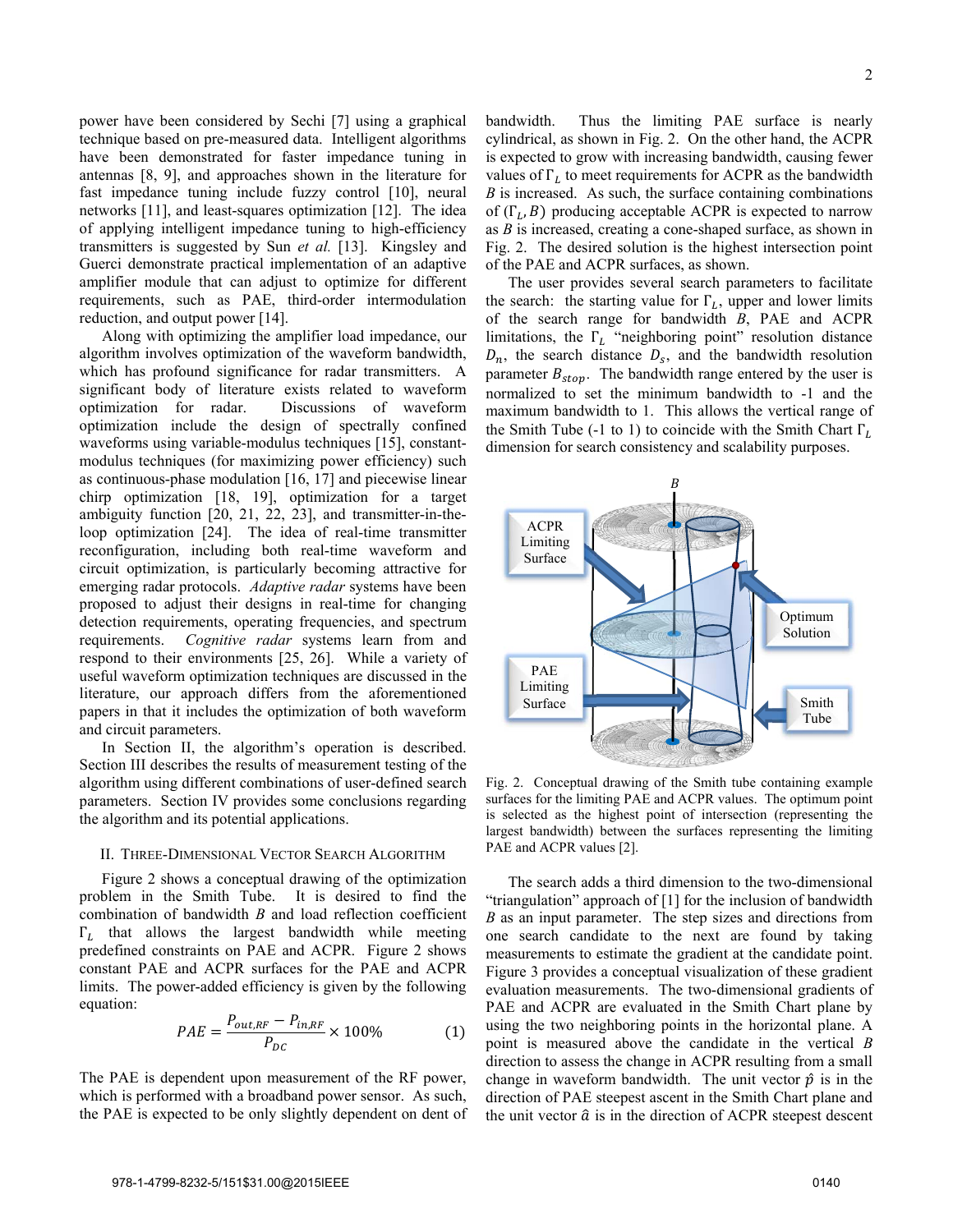power have been considered by Sechi [7] using a graphical technique based on pre-measured data. Intelligent algorithms have been demonstrated for faster impedance tuning in antennas [8, 9], and approaches shown in the literature for fast impedance tuning include fuzzy control [10], neural networks [11], and least-squares optimization [12]. The idea of applying intelligent impedance tuning to high-efficiency transmitters is suggested by Sun *et al.* [13]. Kingsley and Guerci demonstrate practical implementation of an adaptive amplifier module that can adjust to optimize for different requirements, such as PAE, third-order intermodulation reduction, and output power [14].

Along with optimizing the amplifier load impedance, our algorithm involves optimization of the waveform bandwidth, which has profound significance for radar transmitters. A significant body of literature exists related to waveform optimization for radar. Discussions of waveform optimization include the design of spectrally confined waveforms using variable-modulus techniques [15], constantmodulus techniques (for maximizing power efficiency) such as continuous-phase modulation [16, 17] and piecewise linear chirp optimization [18, 19], optimization for a target ambiguity function [20, 21, 22, 23], and transmitter-in-theloop optimization [24]. The idea of real-time transmitter reconfiguration, including both real-time waveform and circuit optimization, is particularly becoming attractive for emerging radar protocols. *Adaptive radar* systems have been proposed to adjust their designs in real-time for changing detection requirements, operating frequencies, and spectrum requirements. *Cognitive radar* systems learn from and respond to their environments [25, 26]. While a variety of useful waveform optimization techniques are discussed in the literature, our approach differs from the aforementioned papers in that it includes the optimization of both waveform and circuit parameters.

In Section II, the algorithm's operation is described. Section III describes the results of measurement testing of the algorithm using different combinations of user-defined search parameters. Section IV provides some conclusions regarding the algorithm and its potential applications.

## II. THREE-DIMENSIONAL VECTOR SEARCH ALGORITHM

Figure 2 shows a conceptual drawing of the optimization problem in the Smith Tube. It is desired to find the combination of bandwidth *B* and load reflection coefficient  $\Gamma_L$  that allows the largest bandwidth while meeting predefined constraints on PAE and ACPR. Figure 2 shows constant PAE and ACPR surfaces for the PAE and ACPR limits. The power-added efficiency is given by the following equation:

$$
PAE = \frac{P_{out,RF} - P_{in,RF}}{P_{DC}} \times 100\%
$$
 (1)

The PAE is dependent upon measurement of the RF power, which is performed with a broadband power sensor. As such, the PAE is expected to be only slightly dependent on dent of bandwidth. Thus the limiting PAE surface is nearly cylindrical, as shown in Fig. 2. On the other hand, the ACPR is expected to grow with increasing bandwidth, causing fewer values of  $\Gamma$ , to meet requirements for ACPR as the bandwidth *B* is increased. As such, the surface containing combinations of  $(\Gamma_L, B)$  producing acceptable ACPR is expected to narrow as *B* is increased, creating a cone-shaped surface, as shown in Fig. 2. The desired solution is the highest intersection point of the PAE and ACPR surfaces, as shown.

The user provides several search parameters to facilitate the search: the starting value for  $\Gamma_L$ , upper and lower limits of the search range for bandwidth *B*, PAE and ACPR limitations, the  $\Gamma_L$  "neighboring point" resolution distance  $D_n$ , the search distance  $D_s$ , and the bandwidth resolution parameter  $B_{stop}$ . The bandwidth range entered by the user is normalized to set the minimum bandwidth to -1 and the maximum bandwidth to 1. This allows the vertical range of the Smith Tube (-1 to 1) to coincide with the Smith Chart  $\Gamma_L$ dimension for search consistency and scalability purposes.



Fig. 2. Conceptual drawing of the Smith tube containing example surfaces for the limiting PAE and ACPR values. The optimum point is selected as the highest point of intersection (representing the largest bandwidth) between the surfaces representing the limiting PAE and ACPR values [2].

The search adds a third dimension to the two-dimensional "triangulation" approach of [1] for the inclusion of bandwidth *B* as an input parameter. The step sizes and directions from one search candidate to the next are found by taking measurements to estimate the gradient at the candidate point. Figure 3 provides a conceptual visualization of these gradient evaluation measurements. The two-dimensional gradients of PAE and ACPR are evaluated in the Smith Chart plane by using the two neighboring points in the horizontal plane. A point is measured above the candidate in the vertical *B*  direction to assess the change in ACPR resulting from a small change in waveform bandwidth. The unit vector  $\hat{p}$  is in the direction of PAE steepest ascent in the Smith Chart plane and the unit vector  $\hat{a}$  is in the direction of ACPR steepest descent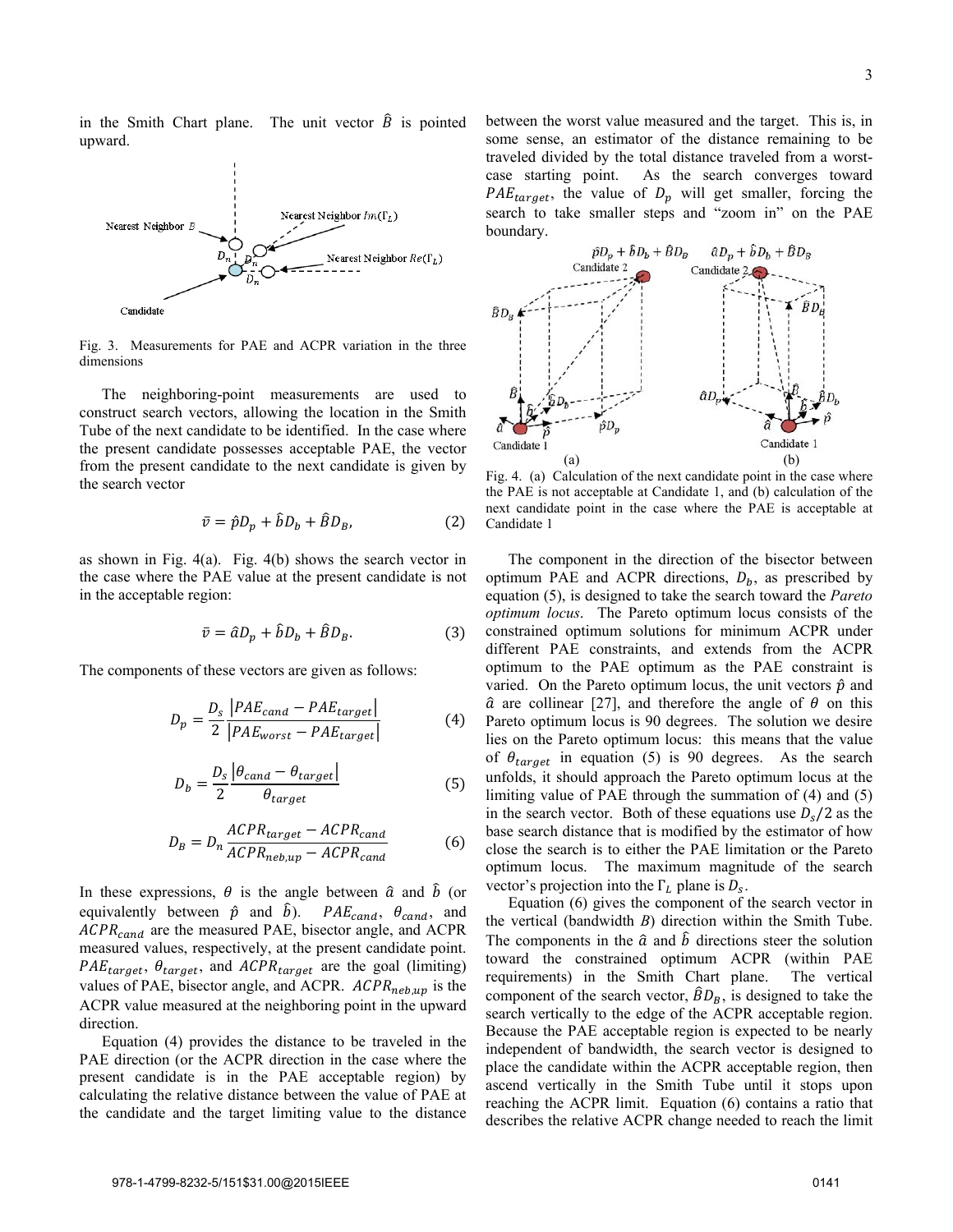in the Smith Chart plane. The unit vector  $\hat{B}$  is pointed upward.



Fig. 3. Measurements for PAE and ACPR variation in the three dimensions

The neighboring-point measurements are used to construct search vectors, allowing the location in the Smith Tube of the next candidate to be identified. In the case where the present candidate possesses acceptable PAE, the vector from the present candidate to the next candidate is given by the search vector

$$
\bar{v} = \hat{p}D_p + \hat{b}D_b + \hat{B}D_B, \tag{2}
$$

as shown in Fig. 4(a). Fig. 4(b) shows the search vector in the case where the PAE value at the present candidate is not in the acceptable region:

$$
\bar{v} = \hat{a}D_p + \hat{b}D_b + \hat{B}D_B.
$$
 (3)

The components of these vectors are given as follows:

$$
D_p = \frac{D_s}{2} \frac{|PAE_{cand} - PAE_{target}|}{|PAE_{worst} - PAE_{target}|}
$$
(4)

$$
D_b = \frac{D_s}{2} \frac{\left|\theta_{cand} - \theta_{target}\right|}{\theta_{target}}
$$
(5)

$$
D_B = D_n \frac{ACPR_{target} - ACPR_{cand}}{ACPR_{neb,up} - ACPR_{cand}} \tag{6}
$$

In these expressions,  $\theta$  is the angle between  $\hat{a}$  and  $\hat{b}$  (or equivalently between  $\hat{p}$  and  $\hat{b}$ ).  $PAE_{cand}$ ,  $\theta_{cand}$ , and  $ACPR_{cand}$  are the measured PAE, bisector angle, and ACPR measured values, respectively, at the present candidate point.  $PAE_{target}$ ,  $\theta_{target}$ , and  $ACPR_{target}$  are the goal (limiting) values of PAE, bisector angle, and ACPR.  $ACPR_{neb,up}$  is the ACPR value measured at the neighboring point in the upward direction.

Equation (4) provides the distance to be traveled in the PAE direction (or the ACPR direction in the case where the present candidate is in the PAE acceptable region) by calculating the relative distance between the value of PAE at the candidate and the target limiting value to the distance between the worst value measured and the target. This is, in some sense, an estimator of the distance remaining to be traveled divided by the total distance traveled from a worstcase starting point. As the search converges toward  $PAE_{target}$ , the value of  $D_p$  will get smaller, forcing the search to take smaller steps and "zoom in" on the PAE boundary.



the PAE is not acceptable at Candidate 1, and (b) calculation of the next candidate point in the case where the PAE is acceptable at Candidate 1

The component in the direction of the bisector between optimum PAE and ACPR directions,  $D_h$ , as prescribed by equation (5), is designed to take the search toward the *Pareto optimum locus*. The Pareto optimum locus consists of the constrained optimum solutions for minimum ACPR under different PAE constraints, and extends from the ACPR optimum to the PAE optimum as the PAE constraint is varied. On the Pareto optimum locus, the unit vectors  $\hat{p}$  and  $\hat{a}$  are collinear [27], and therefore the angle of  $\theta$  on this Pareto optimum locus is 90 degrees. The solution we desire lies on the Pareto optimum locus: this means that the value of  $\theta_{target}$  in equation (5) is 90 degrees. As the search unfolds, it should approach the Pareto optimum locus at the limiting value of PAE through the summation of (4) and (5) in the search vector. Both of these equations use  $D_s/2$  as the base search distance that is modified by the estimator of how close the search is to either the PAE limitation or the Pareto optimum locus. The maximum magnitude of the search vector's projection into the  $\Gamma_L$  plane is  $D_s$ .

Equation (6) gives the component of the search vector in the vertical (bandwidth *B*) direction within the Smith Tube. The components in the  $\hat{a}$  and  $\hat{b}$  directions steer the solution toward the constrained optimum ACPR (within PAE requirements) in the Smith Chart plane. The vertical component of the search vector,  $\hat{B}D_B$ , is designed to take the search vertically to the edge of the ACPR acceptable region. Because the PAE acceptable region is expected to be nearly independent of bandwidth, the search vector is designed to place the candidate within the ACPR acceptable region, then ascend vertically in the Smith Tube until it stops upon reaching the ACPR limit. Equation (6) contains a ratio that describes the relative ACPR change needed to reach the limit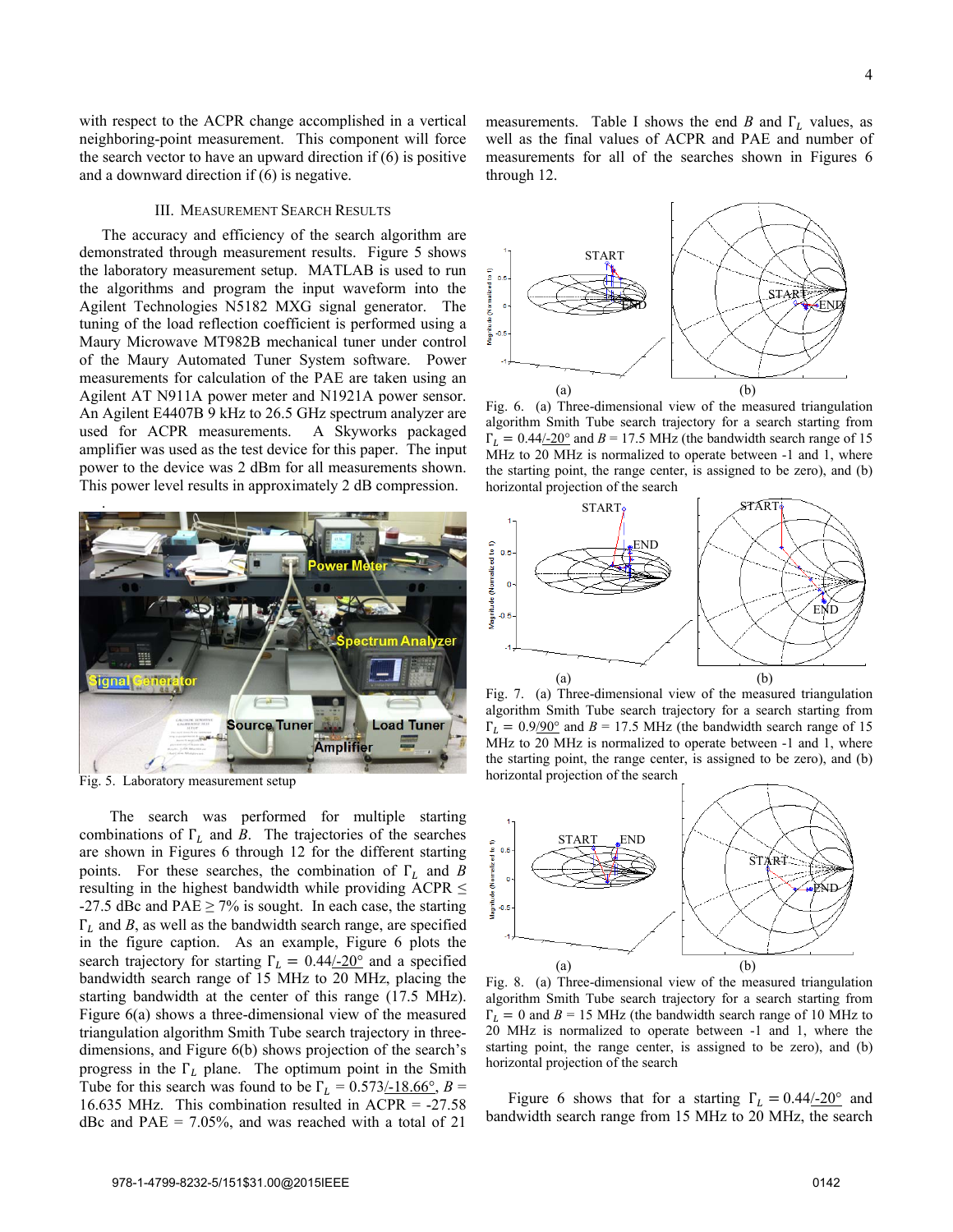with respect to the ACPR change accomplished in a vertical neighboring-point measurement. This component will force the search vector to have an upward direction if (6) is positive and a downward direction if (6) is negative.

# III. MEASUREMENT SEARCH RESULTS

The accuracy and efficiency of the search algorithm are demonstrated through measurement results. Figure 5 shows the laboratory measurement setup. MATLAB is used to run the algorithms and program the input waveform into the Agilent Technologies N5182 MXG signal generator. The tuning of the load reflection coefficient is performed using a Maury Microwave MT982B mechanical tuner under control of the Maury Automated Tuner System software. Power measurements for calculation of the PAE are taken using an Agilent AT N911A power meter and N1921A power sensor. An Agilent E4407B 9 kHz to 26.5 GHz spectrum analyzer are used for ACPR measurements. A Skyworks packaged amplifier was used as the test device for this paper. The input power to the device was 2 dBm for all measurements shown. This power level results in approximately 2 dB compression.



Fig. 5. Laboratory measurement setup

 The search was performed for multiple starting combinations of  $\Gamma_L$  and *B*. The trajectories of the searches are shown in Figures 6 through 12 for the different starting points. For these searches, the combination of  $\Gamma_L$  and *B* resulting in the highest bandwidth while providing ACPR  $\leq$ -27.5 dBc and PAE  $\geq$  7% is sought. In each case, the starting  $\Gamma_L$  and *B*, as well as the bandwidth search range, are specified in the figure caption. As an example, Figure 6 plots the search trajectory for starting  $\Gamma_L = 0.44/20^{\circ}$  and a specified bandwidth search range of 15 MHz to 20 MHz, placing the starting bandwidth at the center of this range (17.5 MHz). Figure 6(a) shows a three-dimensional view of the measured triangulation algorithm Smith Tube search trajectory in threedimensions, and Figure 6(b) shows projection of the search's progress in the  $\Gamma_L$  plane. The optimum point in the Smith Tube for this search was found to be  $\Gamma_L = 0.573/18.66^\circ$ ,  $B =$ 16.635 MHz. This combination resulted in ACPR = -27.58 dBc and PAE =  $7.05\%$ , and was reached with a total of 21

measurements. Table I shows the end *B* and  $\Gamma_L$  values, as well as the final values of ACPR and PAE and number of measurements for all of the searches shown in Figures 6 through 12.



Fig. 6. (a) Three-dimensional view of the measured triangulation algorithm Smith Tube search trajectory for a search starting from  $\Gamma_l = 0.44/-20^\circ$  and  $B = 17.5$  MHz (the bandwidth search range of 15 MHz to 20 MHz is normalized to operate between -1 and 1, where the starting point, the range center, is assigned to be zero), and (b) horizontal projection of the search



Fig. 7. (a) Three-dimensional view of the measured triangulation algorithm Smith Tube search trajectory for a search starting from  $\Gamma_L = 0.9/90^\circ$  and  $B = 17.5$  MHz (the bandwidth search range of 15 MHz to 20 MHz is normalized to operate between -1 and 1, where the starting point, the range center, is assigned to be zero), and (b) horizontal projection of the search



Fig. 8. (a) Three-dimensional view of the measured triangulation algorithm Smith Tube search trajectory for a search starting from  $\Gamma_L = 0$  and  $B = 15$  MHz (the bandwidth search range of 10 MHz to 20 MHz is normalized to operate between -1 and 1, where the starting point, the range center, is assigned to be zero), and (b) horizontal projection of the search

Figure 6 shows that for a starting  $\Gamma_L = 0.44/-20^\circ$  and bandwidth search range from 15 MHz to 20 MHz, the search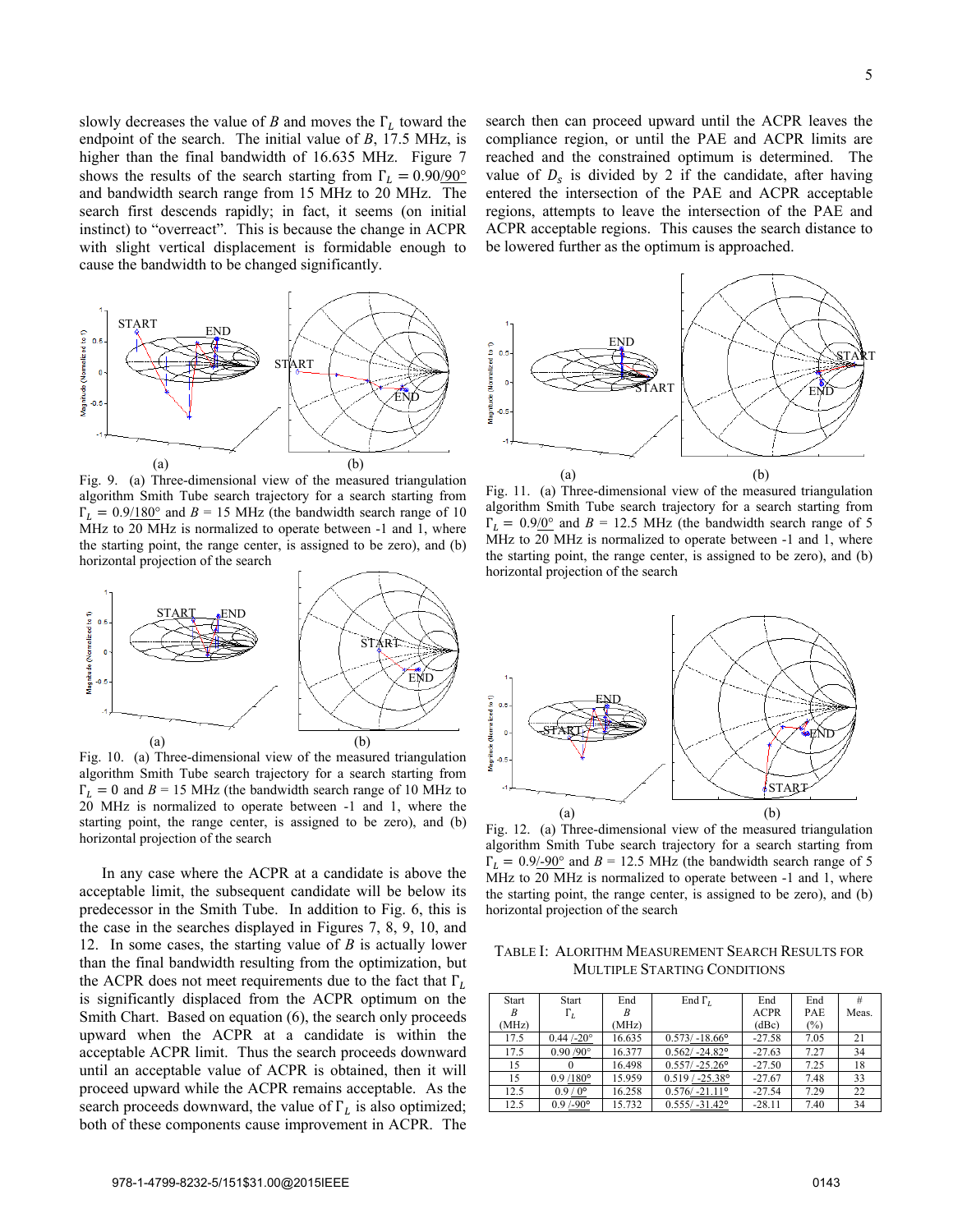slowly decreases the value of *B* and moves the  $\Gamma_L$  toward the endpoint of the search. The initial value of *B*, 17.5 MHz, is higher than the final bandwidth of 16.635 MHz. Figure 7 shows the results of the search starting from  $\Gamma_L = 0.90/90^\circ$ and bandwidth search range from 15 MHz to 20 MHz. The search first descends rapidly; in fact, it seems (on initial instinct) to "overreact". This is because the change in ACPR with slight vertical displacement is formidable enough to cause the bandwidth to be changed significantly.



Fig. 9. (a) Three-dimensional view of the measured triangulation algorithm Smith Tube search trajectory for a search starting from  $\Gamma_L = 0.9/180^\circ$  and  $B = 15$  MHz (the bandwidth search range of 10 MHz to 20 MHz is normalized to operate between -1 and 1, where the starting point, the range center, is assigned to be zero), and (b) horizontal projection of the search



Fig. 10. (a) Three-dimensional view of the measured triangulation algorithm Smith Tube search trajectory for a search starting from  $\Gamma_L = 0$  and  $B = 15$  MHz (the bandwidth search range of 10 MHz to 20 MHz is normalized to operate between -1 and 1, where the starting point, the range center, is assigned to be zero), and (b) horizontal projection of the search

In any case where the ACPR at a candidate is above the acceptable limit, the subsequent candidate will be below its predecessor in the Smith Tube. In addition to Fig. 6, this is the case in the searches displayed in Figures 7, 8, 9, 10, and 12. In some cases, the starting value of *B* is actually lower than the final bandwidth resulting from the optimization, but the ACPR does not meet requirements due to the fact that  $\Gamma_L$ is significantly displaced from the ACPR optimum on the Smith Chart. Based on equation (6), the search only proceeds upward when the ACPR at a candidate is within the acceptable ACPR limit. Thus the search proceeds downward until an acceptable value of ACPR is obtained, then it will proceed upward while the ACPR remains acceptable. As the search proceeds downward, the value of  $\Gamma_L$  is also optimized; both of these components cause improvement in ACPR. The search then can proceed upward until the ACPR leaves the compliance region, or until the PAE and ACPR limits are reached and the constrained optimum is determined. The value of  $D_s$  is divided by 2 if the candidate, after having entered the intersection of the PAE and ACPR acceptable regions, attempts to leave the intersection of the PAE and ACPR acceptable regions. This causes the search distance to be lowered further as the optimum is approached.



Fig. 11. (a) Three-dimensional view of the measured triangulation algorithm Smith Tube search trajectory for a search starting from  $\Gamma_L = 0.9/0^{\circ}$  and  $B = 12.5$  MHz (the bandwidth search range of 5 MHz to 20 MHz is normalized to operate between -1 and 1, where the starting point, the range center, is assigned to be zero), and (b) horizontal projection of the search



Fig. 12. (a) Three-dimensional view of the measured triangulation algorithm Smith Tube search trajectory for a search starting from  $\Gamma_L = 0.9/-90^\circ$  and  $B = 12.5$  MHz (the bandwidth search range of 5 MHz to 20 MHz is normalized to operate between -1 and 1, where the starting point, the range center, is assigned to be zero), and (b) horizontal projection of the search

TABLE I: ALORITHM MEASUREMENT SEARCH RESULTS FOR MULTIPLE STARTING CONDITIONS

| <b>Start</b> | Start                | End    | End $\Gamma$ <sub>I</sub> | End         | End  |       |
|--------------|----------------------|--------|---------------------------|-------------|------|-------|
|              | $\Gamma_L$           |        |                           | <b>ACPR</b> | PAE  | Meas. |
| (MHz)        |                      | (MHz   |                           | (dBc)       | (%)  |       |
| 17.5         | $0.44 / -20^{\circ}$ | 16.635 | $0.573/ -18.66$ °         | $-27.58$    | 7.05 | 21    |
| 17.5         | $0.90 / 90^{\circ}$  | 16.377 | $0.562/ -24.82$ °         | $-27.63$    | 7.27 | 34    |
| 15           |                      | 16.498 | $0.557/ -25.26$ °         | $-27.50$    | 7.25 | 18    |
| 15           | $0.9/180^{\circ}$    | 15.959 | $0.519 / -25.38$ °        | $-27.67$    | 7.48 | 33    |
| 12.5         | $0.9/0^{\circ}$      | 16.258 | $0.576/-21.11$ °          | $-27.54$    | 7.29 | 22    |
| 12.5         | $0.9/90$ °           | 15.732 | $0.555/ -31.42$ °         | $-28.11$    | 7.40 | 34    |